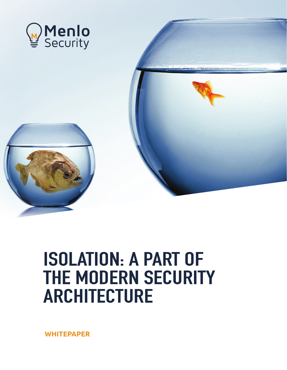

# ISOLATION: A PART OF THE MODERN SECURITY ARCHITECTURE

**WHITEPAPER**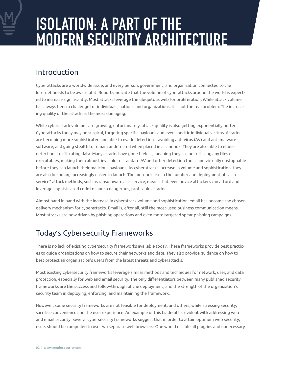# ISOLATION: A PART OF THE MODERN SECURITY ARCHITECTURE

## Introduction

Cyberattacks are a worldwide issue, and every person, government, and organization connected to the Internet needs to be aware of it. Reports indicate that the volume of cyberattacks around the world is expected to increase significantly. Most attacks leverage the ubiquitous web for proliferation. While attack volume has always been a challenge for individuals, nations, and organizations, it is not the real problem: The increasing quality of the attacks is the most damaging.

While cyberattack volumes are growing, unfortunately, attack quality is also getting exponentially better. Cyberattacks today may be surgical, targeting specific payloads and even specific individual victims. Attacks are becoming more sophisticated and able to evade detection—avoiding anti-virus (AV) and anti-malware software, and going stealth to remain undetected when placed in a sandbox. They are also able to elude detection if exfiltrating data. Many attacks have gone fileless, meaning they are not utilizing any files or executables, making them almost invisible to standard AV and other detection tools, and virtually unstoppable before they can launch their malicious payloads. As cyberattacks increase in volume and sophistication, they are also becoming increasingly easier to launch. The meteoric rise in the number and deployment of "as-aservice" attack methods, such as ransomware as a service, means that even novice attackers can afford and leverage sophisticated code to launch dangerous, profitable attacks.

Almost hand in hand with the increase in cyberattack volume and sophistication, email has become the chosen delivery mechanism for cyberattacks. Email is, after all, still the most-used business communication means. Most attacks are now driven by phishing operations and even more targeted spear-phishing campaigns.

# Today's Cybersecurity Frameworks

There is no lack of existing cybersecurity frameworks available today. These frameworks provide best practices to guide organizations on how to secure their networks and data. They also provide guidance on how to best protect an organization's users from the latest threats and cyberattacks.

Most existing cybersecurity frameworks leverage similar methods and techniques for network, user, and data protection, especially for web and email security. The only differentiators between many published security frameworks are the success and follow-through of the deployment, and the strength of the organization's security team in deploying, enforcing, and maintaining the framework.

However, some security frameworks are not feasible for deployment, and others, while stressing security, sacrifice convenience and the user experience. An example of this trade-off is evident with addressing web and email security. Several cybersecurity frameworks suggest that in order to attain optimum web security, users should be compelled to use two separate web browsers: One would disable all plug-ins and unnecessary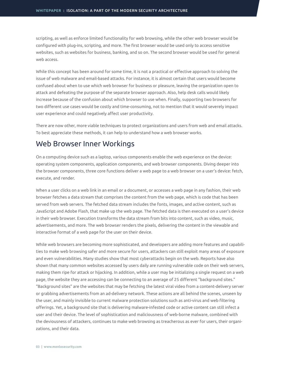scripting, as well as enforce limited functionality for web browsing, while the other web browser would be configured with plug-ins, scripting, and more. The first browser would be used only to access sensitive websites, such as websites for business, banking, and so on. The second browser would be used for general web access.

While this concept has been around for some time, it is not a practical or effective approach to solving the issue of web malware and email-based attacks. For instance, it is almost certain that users would become confused about when to use which web browser for business or pleasure, leaving the organization open to attack and defeating the purpose of the separate browser approach. Also, help desk calls would likely increase because of the confusion about which browser to use when. Finally, supporting two browsers for two different use cases would be costly and time-consuming, not to mention that it would severely impact user experience and could negatively affect user productivity.

There are now other, more viable techniques to protect organizations and users from web and email attacks. To best appreciate these methods, it can help to understand how a web browser works.

#### Web Browser Inner Workings

On a computing device such as a laptop, various components enable the web experience on the device: operating system components, application components, and web browser components. Diving deeper into the browser components, three core functions deliver a web page to a web browser on a user's device: fetch, execute, and render.

When a user clicks on a web link in an email or a document, or accesses a web page in any fashion, their web browser fetches a data stream that comprises the content from the web page, which is code that has been served from web servers. The fetched data stream includes the fonts, images, and active content, such as JavaScript and Adobe Flash, that make up the web page. The fetched data is then executed on a user's device in their web browser. Execution transforms the data stream from bits into content, such as video, music, advertisements, and more. The web browser renders the pixels, delivering the content in the viewable and interactive format of a web page for the user on their device.

While web browsers are becoming more sophisticated, and developers are adding more features and capabilities to make web browsing safer and more secure for users, attackers can still exploit many areas of exposure and even vulnerabilities. Many studies show that most cyberattacks begin on the web. Reports have also shown that many common websites accessed by users daily are running vulnerable code on their web servers, making them ripe for attack or hijacking. In addition, while a user may be initializing a single request on a web page, the website they are accessing can be connecting to an average of 25 different "background sites." "Background sites" are the websites that may be fetching the latest viral video from a content-delivery server or grabbing advertisements from an ad-delivery network. These actions are all behind the scenes, unseen by the user, and mainly invisible to current malware protection solutions such as anti-virus and web filtering offerings. Yet, a background site that is delivering malware-infested code or active content can still infect a user and their device. The level of sophistication and maliciousness of web-borne malware, combined with the deviousness of attackers, continues to make web browsing as treacherous as ever for users, their organizations, and their data.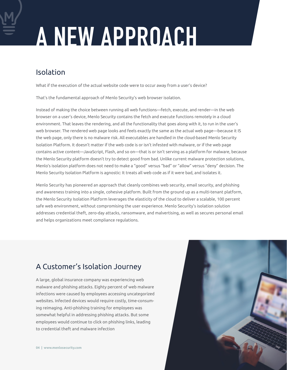# A NEW APPROACH

# Isolation

What if the execution of the actual website code were to occur away from a user's device?

That's the fundamental approach of Menlo Security's web browser isolation.

Instead of making the choice between running all web functions—fetch, execute, and render—in the web browser on a user's device, Menlo Security contains the fetch and execute functions remotely in a cloud environment. That leaves the rendering, and all the functionality that goes along with it, to run in the user's web browser. The rendered web page looks and feels exactly the same as the actual web page—because it IS the web page, only there is no malware risk. All executables are handled in the cloud-based Menlo Security Isolation Platform. It doesn't matter if the web code is or isn't infested with malware, or if the web page contains active content—JavaScript, Flash, and so on—that is or isn't serving as a platform for malware, because the Menlo Security platform doesn't try to detect good from bad. Unlike current malware protection solutions, Menlo's isolation platform does not need to make a "good" versus "bad" or "allow" versus "deny" decision. The Menlo Security Isolation Platform is agnostic: It treats all web code as if it were bad, and isolates it.

Menlo Security has pioneered an approach that cleanly combines web security, email security, and phishing and awareness training into a single, cohesive platform. Built from the ground up as a multi-tenant platform, the Menlo Security Isolation Platform leverages the elasticity of the cloud to deliver a scalable, 100 percent safe web environment, without compromising the user experience. Menlo Security's isolation solution addresses credential theft, zero-day attacks, ransomware, and malvertising, as well as secures personal email and helps organizations meet compliance regulations.

# A Customer's Isolation Journey

A large, global insurance company was experiencing web malware and phishing attacks. Eighty percent of web malware infections were caused by employees accessing uncategorized websites. Infected devices would require costly, time-consuming reimaging. Anti-phishing training for employees was somewhat helpful in addressing phishing attacks. But some employees would continue to click on phishing links, leading to credential theft and malware infection

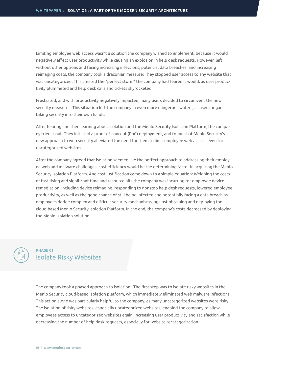Limiting employee web access wasn't a solution the company wished to implement, because it would negatively affect user productivity while causing an explosion in help desk requests. However, left without other options and facing increasing infections, potential data breaches, and increasing reimaging costs, the company took a draconian measure: They stopped user access to any website that was uncategorized. This created the "perfect storm" the company had feared it would, as user productivity plummeted and help desk calls and tickets skyrocketed.

Frustrated, and with productivity negatively impacted, many users decided to circumvent the new security measures. This situation left the company in even more dangerous waters, as users began taking security into their own hands.

After hearing and then learning about isolation and the Menlo Security Isolation Platform, the company tried it out. They initiated a proof-of-concept (PoC) deployment, and found that Menlo Security's new approach to web security alleviated the need for them to limit employee web access, even for uncategorized websites.

After the company agreed that isolation seemed like the perfect approach to addressing their employee web and malware challenges, cost efficiency would be the determining factor in acquiring the Menlo Security Isolation Platform. And cost justification came down to a simple equation: Weighing the costs of fast-rising and significant time and resource hits the company was incurring for employee device remediation, including device reimaging, responding to nonstop help desk requests, lowered employee productivity, as well as the good chance of still being infected and potentially facing a data breach as employees dodge complex and difficult security mechanisms, against obtaining and deploying the cloud-based Menlo Security Isolation Platform. In the end, the company's costs decreased by deploying the Menlo isolation solution.

#### Isolate Risky Websites **PHASE 01**

The company took a phased approach to isolation. The first step was to isolate risky websites in the Menlo Security cloud-based isolation platform, which immediately eliminated web malware infections. This action alone was particularly helpful to the company, as many uncategorized websites were risky. The isolation of risky websites, especially uncategorized websites, enabled the company to allow employees access to uncategorized websites again, increasing user productivity and satisfaction while decreasing the number of help desk requests, especially for website recategorization.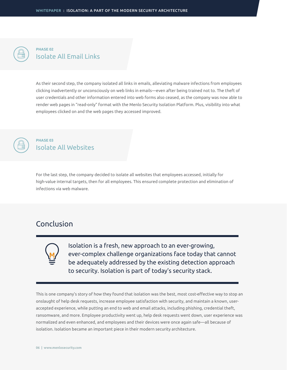

#### Isolate All Email Links **PHASE 02**

As their second step, the company isolated all links in emails, alleviating malware infections from employees clicking inadvertently or unconsciously on web links in emails—even after being trained not to. The theft of user credentials and other information entered into web forms also ceased, as the company was now able to render web pages in "read-only" format with the Menlo Security Isolation Platform. Plus, visibility into what employees clicked on and the web pages they accessed improved.



#### Isolate All Websites **PHASE 03**

For the last step, the company decided to isolate all websites that employees accessed, initially for high-value internal targets, then for all employees. This ensured complete protection and elimination of infections via web malware.

### Conclusion



Isolation is a fresh, new approach to an ever-growing, ever-complex challenge organizations face today that cannot be adequately addressed by the existing detection approach to security. Isolation is part of today's security stack.

This is one company's story of how they found that isolation was the best, most cost-effective way to stop an onslaught of help desk requests, increase employee satisfaction with security, and maintain a known, useraccepted experience, while putting an end to web and email attacks, including phishing, credential theft, ransomware, and more. Employee productivity went up, help desk requests went down, user experience was normalized and even enhanced, and employees and their devices were once again safe—all because of isolation. Isolation became an important piece in their modern security architecture.